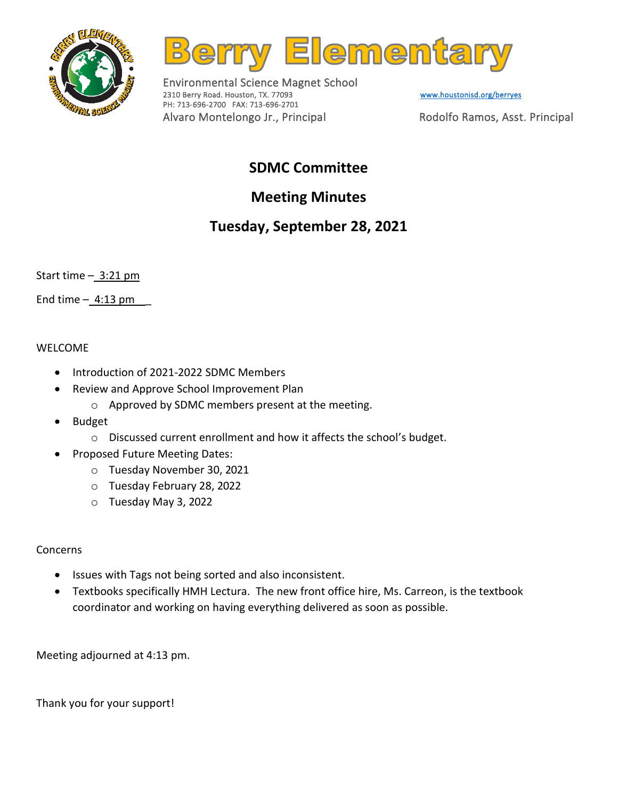



Environmental Science Magnet School 2310 Berry Road. Houston, TX. 77093 Www.houstonisd.org/berryes PH: 713-696-2700 FAX: 713-696-2701 Alvaro Montelongo Jr., Principal Rodolfo Ramos, Asst. Principal

## **SDMC Committee**

# **Meeting Minutes**

## **Tuesday, September 28, 2021**

Start time  $-\underline{3:21 \text{ pm}}$ 

End time  $-4:13$  pm

#### WELCOME

- Introduction of 2021-2022 SDMC Members
- Review and Approve School Improvement Plan
	- o Approved by SDMC members present at the meeting.
- Budget
	- o Discussed current enrollment and how it affects the school's budget.
- Proposed Future Meeting Dates:
	- o Tuesday November 30, 2021
	- o Tuesday February 28, 2022
	- o Tuesday May 3, 2022

### Concerns

- Issues with Tags not being sorted and also inconsistent.
- Textbooks specifically HMH Lectura. The new front office hire, Ms. Carreon, is the textbook coordinator and working on having everything delivered as soon as possible.

Meeting adjourned at 4:13 pm.

Thank you for your support!